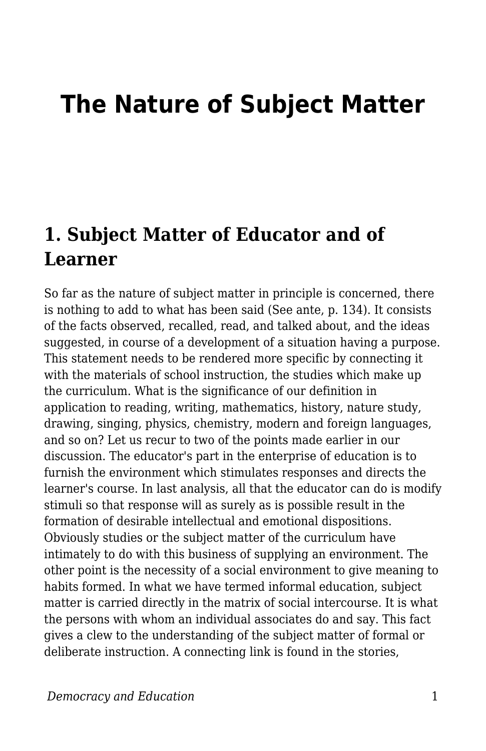# **The Nature of Subject Matter**

### **1. Subject Matter of Educator and of Learner**

So far as the nature of subject matter in principle is concerned, there is nothing to add to what has been said (See ante, p. 134). It consists of the facts observed, recalled, read, and talked about, and the ideas suggested, in course of a development of a situation having a purpose. This statement needs to be rendered more specific by connecting it with the materials of school instruction, the studies which make up the curriculum. What is the significance of our definition in application to reading, writing, mathematics, history, nature study, drawing, singing, physics, chemistry, modern and foreign languages, and so on? Let us recur to two of the points made earlier in our discussion. The educator's part in the enterprise of education is to furnish the environment which stimulates responses and directs the learner's course. In last analysis, all that the educator can do is modify stimuli so that response will as surely as is possible result in the formation of desirable intellectual and emotional dispositions. Obviously studies or the subject matter of the curriculum have intimately to do with this business of supplying an environment. The other point is the necessity of a social environment to give meaning to habits formed. In what we have termed informal education, subject matter is carried directly in the matrix of social intercourse. It is what the persons with whom an individual associates do and say. This fact gives a clew to the understanding of the subject matter of formal or deliberate instruction. A connecting link is found in the stories,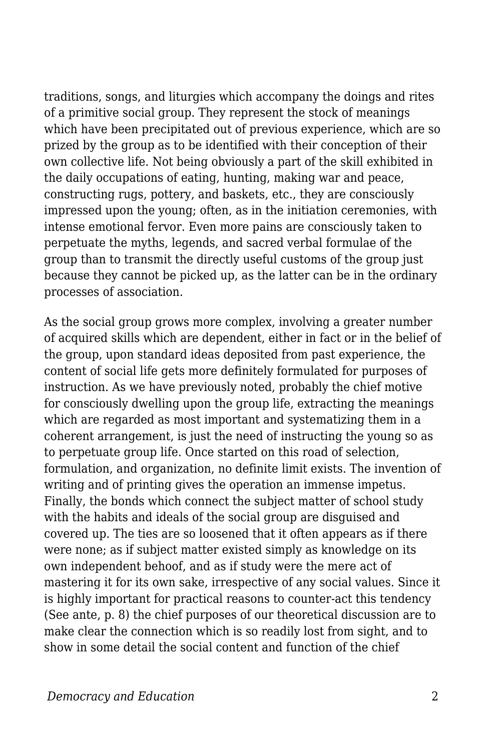traditions, songs, and liturgies which accompany the doings and rites of a primitive social group. They represent the stock of meanings which have been precipitated out of previous experience, which are so prized by the group as to be identified with their conception of their own collective life. Not being obviously a part of the skill exhibited in the daily occupations of eating, hunting, making war and peace, constructing rugs, pottery, and baskets, etc., they are consciously impressed upon the young; often, as in the initiation ceremonies, with intense emotional fervor. Even more pains are consciously taken to perpetuate the myths, legends, and sacred verbal formulae of the group than to transmit the directly useful customs of the group just because they cannot be picked up, as the latter can be in the ordinary processes of association.

As the social group grows more complex, involving a greater number of acquired skills which are dependent, either in fact or in the belief of the group, upon standard ideas deposited from past experience, the content of social life gets more definitely formulated for purposes of instruction. As we have previously noted, probably the chief motive for consciously dwelling upon the group life, extracting the meanings which are regarded as most important and systematizing them in a coherent arrangement, is just the need of instructing the young so as to perpetuate group life. Once started on this road of selection, formulation, and organization, no definite limit exists. The invention of writing and of printing gives the operation an immense impetus. Finally, the bonds which connect the subject matter of school study with the habits and ideals of the social group are disguised and covered up. The ties are so loosened that it often appears as if there were none; as if subject matter existed simply as knowledge on its own independent behoof, and as if study were the mere act of mastering it for its own sake, irrespective of any social values. Since it is highly important for practical reasons to counter-act this tendency (See ante, p. 8) the chief purposes of our theoretical discussion are to make clear the connection which is so readily lost from sight, and to show in some detail the social content and function of the chief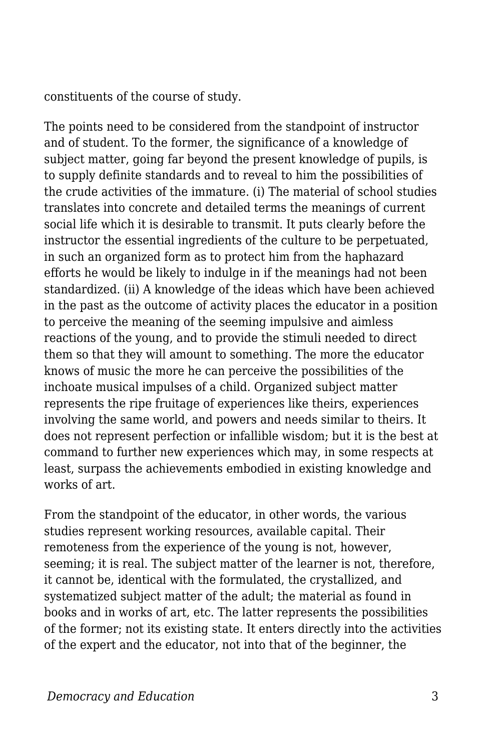constituents of the course of study.

The points need to be considered from the standpoint of instructor and of student. To the former, the significance of a knowledge of subject matter, going far beyond the present knowledge of pupils, is to supply definite standards and to reveal to him the possibilities of the crude activities of the immature. (i) The material of school studies translates into concrete and detailed terms the meanings of current social life which it is desirable to transmit. It puts clearly before the instructor the essential ingredients of the culture to be perpetuated, in such an organized form as to protect him from the haphazard efforts he would be likely to indulge in if the meanings had not been standardized. (ii) A knowledge of the ideas which have been achieved in the past as the outcome of activity places the educator in a position to perceive the meaning of the seeming impulsive and aimless reactions of the young, and to provide the stimuli needed to direct them so that they will amount to something. The more the educator knows of music the more he can perceive the possibilities of the inchoate musical impulses of a child. Organized subject matter represents the ripe fruitage of experiences like theirs, experiences involving the same world, and powers and needs similar to theirs. It does not represent perfection or infallible wisdom; but it is the best at command to further new experiences which may, in some respects at least, surpass the achievements embodied in existing knowledge and works of art.

From the standpoint of the educator, in other words, the various studies represent working resources, available capital. Their remoteness from the experience of the young is not, however, seeming; it is real. The subject matter of the learner is not, therefore, it cannot be, identical with the formulated, the crystallized, and systematized subject matter of the adult; the material as found in books and in works of art, etc. The latter represents the possibilities of the former; not its existing state. It enters directly into the activities of the expert and the educator, not into that of the beginner, the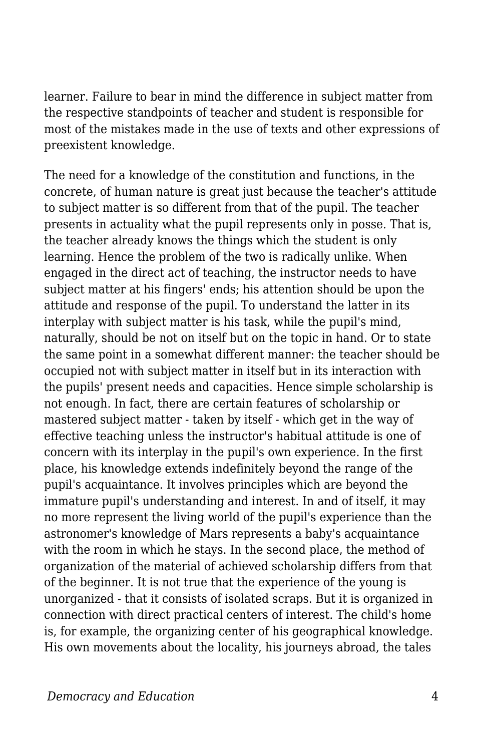learner. Failure to bear in mind the difference in subject matter from the respective standpoints of teacher and student is responsible for most of the mistakes made in the use of texts and other expressions of preexistent knowledge.

The need for a knowledge of the constitution and functions, in the concrete, of human nature is great just because the teacher's attitude to subject matter is so different from that of the pupil. The teacher presents in actuality what the pupil represents only in posse. That is, the teacher already knows the things which the student is only learning. Hence the problem of the two is radically unlike. When engaged in the direct act of teaching, the instructor needs to have subject matter at his fingers' ends; his attention should be upon the attitude and response of the pupil. To understand the latter in its interplay with subject matter is his task, while the pupil's mind, naturally, should be not on itself but on the topic in hand. Or to state the same point in a somewhat different manner: the teacher should be occupied not with subject matter in itself but in its interaction with the pupils' present needs and capacities. Hence simple scholarship is not enough. In fact, there are certain features of scholarship or mastered subject matter - taken by itself - which get in the way of effective teaching unless the instructor's habitual attitude is one of concern with its interplay in the pupil's own experience. In the first place, his knowledge extends indefinitely beyond the range of the pupil's acquaintance. It involves principles which are beyond the immature pupil's understanding and interest. In and of itself, it may no more represent the living world of the pupil's experience than the astronomer's knowledge of Mars represents a baby's acquaintance with the room in which he stays. In the second place, the method of organization of the material of achieved scholarship differs from that of the beginner. It is not true that the experience of the young is unorganized - that it consists of isolated scraps. But it is organized in connection with direct practical centers of interest. The child's home is, for example, the organizing center of his geographical knowledge. His own movements about the locality, his journeys abroad, the tales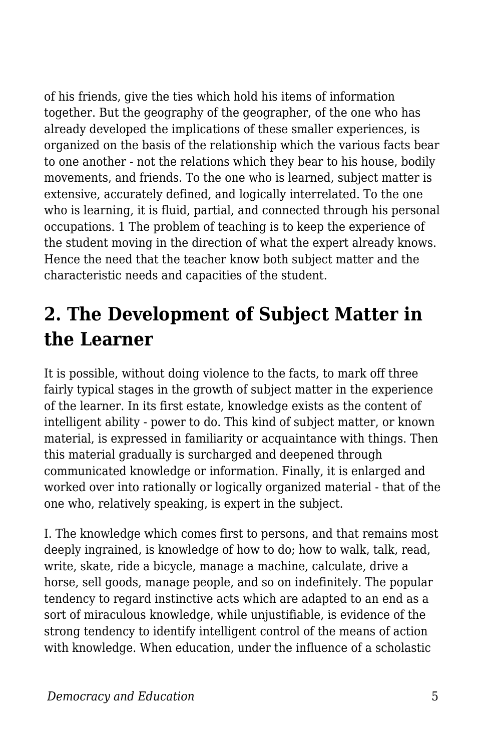of his friends, give the ties which hold his items of information together. But the geography of the geographer, of the one who has already developed the implications of these smaller experiences, is organized on the basis of the relationship which the various facts bear to one another - not the relations which they bear to his house, bodily movements, and friends. To the one who is learned, subject matter is extensive, accurately defined, and logically interrelated. To the one who is learning, it is fluid, partial, and connected through his personal occupations. 1 The problem of teaching is to keep the experience of the student moving in the direction of what the expert already knows. Hence the need that the teacher know both subject matter and the characteristic needs and capacities of the student.

## **2. The Development of Subject Matter in the Learner**

It is possible, without doing violence to the facts, to mark off three fairly typical stages in the growth of subject matter in the experience of the learner. In its first estate, knowledge exists as the content of intelligent ability - power to do. This kind of subject matter, or known material, is expressed in familiarity or acquaintance with things. Then this material gradually is surcharged and deepened through communicated knowledge or information. Finally, it is enlarged and worked over into rationally or logically organized material - that of the one who, relatively speaking, is expert in the subject.

I. The knowledge which comes first to persons, and that remains most deeply ingrained, is knowledge of how to do; how to walk, talk, read, write, skate, ride a bicycle, manage a machine, calculate, drive a horse, sell goods, manage people, and so on indefinitely. The popular tendency to regard instinctive acts which are adapted to an end as a sort of miraculous knowledge, while unjustifiable, is evidence of the strong tendency to identify intelligent control of the means of action with knowledge. When education, under the influence of a scholastic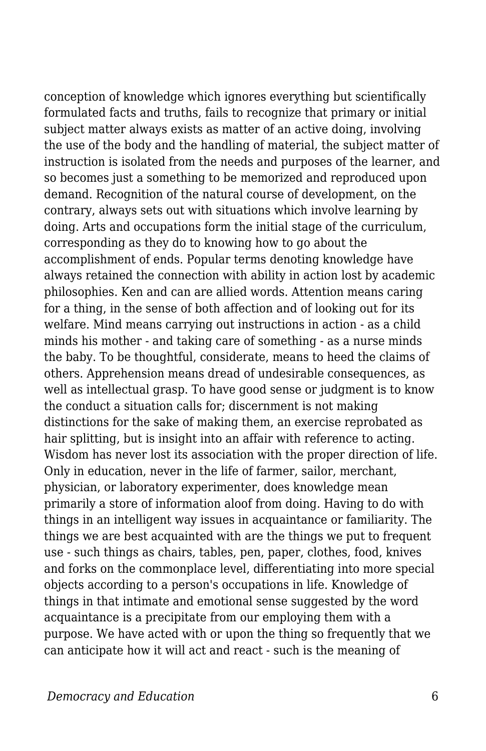conception of knowledge which ignores everything but scientifically formulated facts and truths, fails to recognize that primary or initial subject matter always exists as matter of an active doing, involving the use of the body and the handling of material, the subject matter of instruction is isolated from the needs and purposes of the learner, and so becomes just a something to be memorized and reproduced upon demand. Recognition of the natural course of development, on the contrary, always sets out with situations which involve learning by doing. Arts and occupations form the initial stage of the curriculum, corresponding as they do to knowing how to go about the accomplishment of ends. Popular terms denoting knowledge have always retained the connection with ability in action lost by academic philosophies. Ken and can are allied words. Attention means caring for a thing, in the sense of both affection and of looking out for its welfare. Mind means carrying out instructions in action - as a child minds his mother - and taking care of something - as a nurse minds the baby. To be thoughtful, considerate, means to heed the claims of others. Apprehension means dread of undesirable consequences, as well as intellectual grasp. To have good sense or judgment is to know the conduct a situation calls for; discernment is not making distinctions for the sake of making them, an exercise reprobated as hair splitting, but is insight into an affair with reference to acting. Wisdom has never lost its association with the proper direction of life. Only in education, never in the life of farmer, sailor, merchant, physician, or laboratory experimenter, does knowledge mean primarily a store of information aloof from doing. Having to do with things in an intelligent way issues in acquaintance or familiarity. The things we are best acquainted with are the things we put to frequent use - such things as chairs, tables, pen, paper, clothes, food, knives and forks on the commonplace level, differentiating into more special objects according to a person's occupations in life. Knowledge of things in that intimate and emotional sense suggested by the word acquaintance is a precipitate from our employing them with a purpose. We have acted with or upon the thing so frequently that we can anticipate how it will act and react - such is the meaning of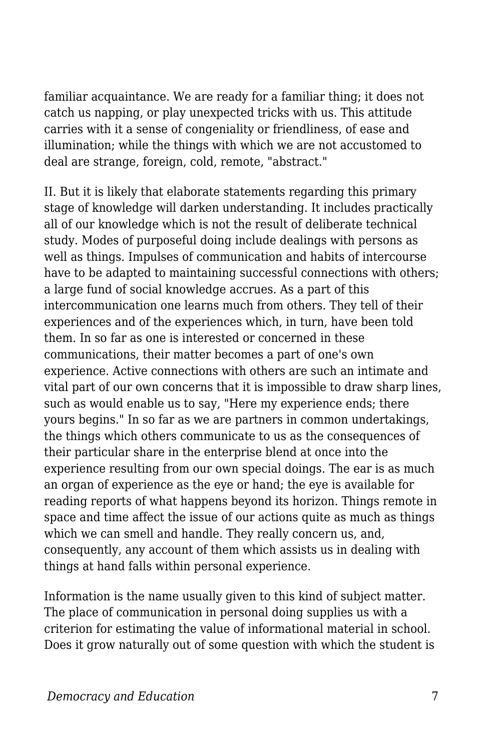familiar acquaintance. We are ready for a familiar thing; it does not catch us napping, or play unexpected tricks with us. This attitude carries with it a sense of congeniality or friendliness, of ease and illumination; while the things with which we are not accustomed to deal are strange, foreign, cold, remote, "abstract."

II. But it is likely that elaborate statements regarding this primary stage of knowledge will darken understanding. It includes practically all of our knowledge which is not the result of deliberate technical study. Modes of purposeful doing include dealings with persons as well as things. Impulses of communication and habits of intercourse have to be adapted to maintaining successful connections with others; a large fund of social knowledge accrues. As a part of this intercommunication one learns much from others. They tell of their experiences and of the experiences which, in turn, have been told them. In so far as one is interested or concerned in these communications, their matter becomes a part of one's own experience. Active connections with others are such an intimate and vital part of our own concerns that it is impossible to draw sharp lines, such as would enable us to say, "Here my experience ends; there yours begins." In so far as we are partners in common undertakings, the things which others communicate to us as the consequences of their particular share in the enterprise blend at once into the experience resulting from our own special doings. The ear is as much an organ of experience as the eye or hand; the eye is available for reading reports of what happens beyond its horizon. Things remote in space and time affect the issue of our actions quite as much as things which we can smell and handle. They really concern us, and, consequently, any account of them which assists us in dealing with things at hand falls within personal experience.

Information is the name usually given to this kind of subject matter. The place of communication in personal doing supplies us with a criterion for estimating the value of informational material in school. Does it grow naturally out of some question with which the student is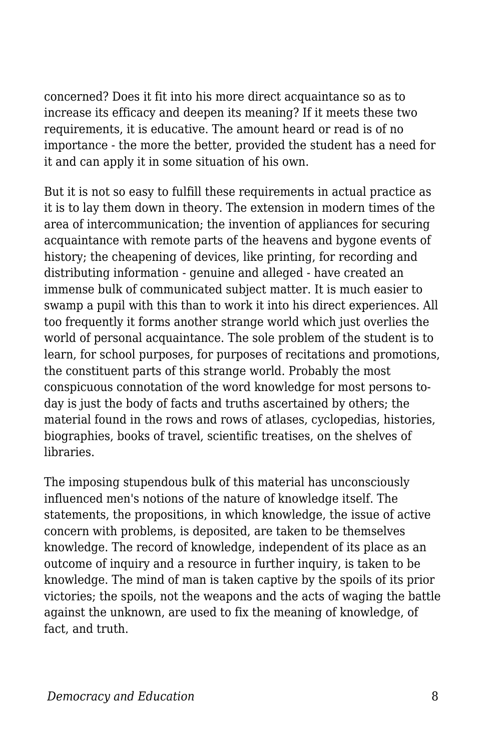concerned? Does it fit into his more direct acquaintance so as to increase its efficacy and deepen its meaning? If it meets these two requirements, it is educative. The amount heard or read is of no importance - the more the better, provided the student has a need for it and can apply it in some situation of his own.

But it is not so easy to fulfill these requirements in actual practice as it is to lay them down in theory. The extension in modern times of the area of intercommunication; the invention of appliances for securing acquaintance with remote parts of the heavens and bygone events of history; the cheapening of devices, like printing, for recording and distributing information - genuine and alleged - have created an immense bulk of communicated subject matter. It is much easier to swamp a pupil with this than to work it into his direct experiences. All too frequently it forms another strange world which just overlies the world of personal acquaintance. The sole problem of the student is to learn, for school purposes, for purposes of recitations and promotions, the constituent parts of this strange world. Probably the most conspicuous connotation of the word knowledge for most persons today is just the body of facts and truths ascertained by others; the material found in the rows and rows of atlases, cyclopedias, histories, biographies, books of travel, scientific treatises, on the shelves of libraries.

The imposing stupendous bulk of this material has unconsciously influenced men's notions of the nature of knowledge itself. The statements, the propositions, in which knowledge, the issue of active concern with problems, is deposited, are taken to be themselves knowledge. The record of knowledge, independent of its place as an outcome of inquiry and a resource in further inquiry, is taken to be knowledge. The mind of man is taken captive by the spoils of its prior victories; the spoils, not the weapons and the acts of waging the battle against the unknown, are used to fix the meaning of knowledge, of fact, and truth.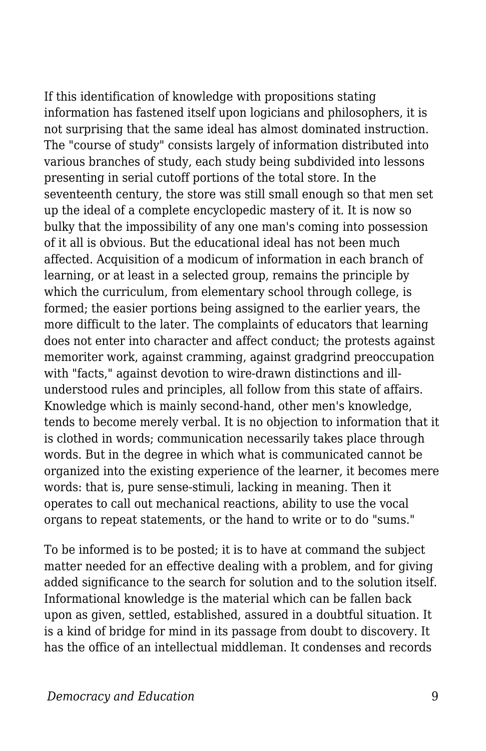If this identification of knowledge with propositions stating information has fastened itself upon logicians and philosophers, it is not surprising that the same ideal has almost dominated instruction. The "course of study" consists largely of information distributed into various branches of study, each study being subdivided into lessons presenting in serial cutoff portions of the total store. In the seventeenth century, the store was still small enough so that men set up the ideal of a complete encyclopedic mastery of it. It is now so bulky that the impossibility of any one man's coming into possession of it all is obvious. But the educational ideal has not been much affected. Acquisition of a modicum of information in each branch of learning, or at least in a selected group, remains the principle by which the curriculum, from elementary school through college, is formed; the easier portions being assigned to the earlier years, the more difficult to the later. The complaints of educators that learning does not enter into character and affect conduct; the protests against memoriter work, against cramming, against gradgrind preoccupation with "facts," against devotion to wire-drawn distinctions and illunderstood rules and principles, all follow from this state of affairs. Knowledge which is mainly second-hand, other men's knowledge, tends to become merely verbal. It is no objection to information that it is clothed in words; communication necessarily takes place through words. But in the degree in which what is communicated cannot be organized into the existing experience of the learner, it becomes mere words: that is, pure sense-stimuli, lacking in meaning. Then it operates to call out mechanical reactions, ability to use the vocal organs to repeat statements, or the hand to write or to do "sums."

To be informed is to be posted; it is to have at command the subject matter needed for an effective dealing with a problem, and for giving added significance to the search for solution and to the solution itself. Informational knowledge is the material which can be fallen back upon as given, settled, established, assured in a doubtful situation. It is a kind of bridge for mind in its passage from doubt to discovery. It has the office of an intellectual middleman. It condenses and records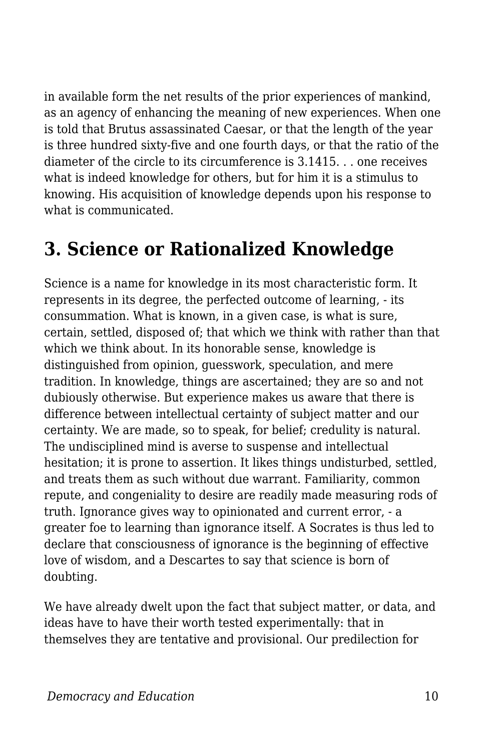in available form the net results of the prior experiences of mankind, as an agency of enhancing the meaning of new experiences. When one is told that Brutus assassinated Caesar, or that the length of the year is three hundred sixty-five and one fourth days, or that the ratio of the diameter of the circle to its circumference is 3.1415. . . one receives what is indeed knowledge for others, but for him it is a stimulus to knowing. His acquisition of knowledge depends upon his response to what is communicated.

## **3. Science or Rationalized Knowledge**

Science is a name for knowledge in its most characteristic form. It represents in its degree, the perfected outcome of learning, - its consummation. What is known, in a given case, is what is sure, certain, settled, disposed of; that which we think with rather than that which we think about. In its honorable sense, knowledge is distinguished from opinion, guesswork, speculation, and mere tradition. In knowledge, things are ascertained; they are so and not dubiously otherwise. But experience makes us aware that there is difference between intellectual certainty of subject matter and our certainty. We are made, so to speak, for belief; credulity is natural. The undisciplined mind is averse to suspense and intellectual hesitation; it is prone to assertion. It likes things undisturbed, settled, and treats them as such without due warrant. Familiarity, common repute, and congeniality to desire are readily made measuring rods of truth. Ignorance gives way to opinionated and current error, - a greater foe to learning than ignorance itself. A Socrates is thus led to declare that consciousness of ignorance is the beginning of effective love of wisdom, and a Descartes to say that science is born of doubting.

We have already dwelt upon the fact that subject matter, or data, and ideas have to have their worth tested experimentally: that in themselves they are tentative and provisional. Our predilection for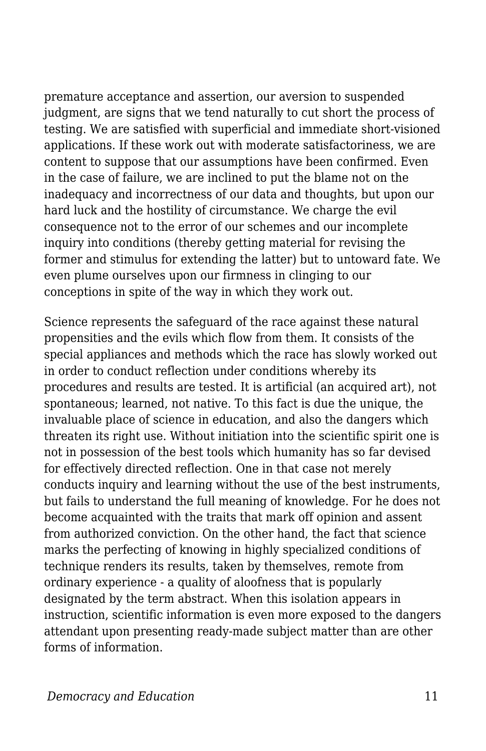premature acceptance and assertion, our aversion to suspended judgment, are signs that we tend naturally to cut short the process of testing. We are satisfied with superficial and immediate short-visioned applications. If these work out with moderate satisfactoriness, we are content to suppose that our assumptions have been confirmed. Even in the case of failure, we are inclined to put the blame not on the inadequacy and incorrectness of our data and thoughts, but upon our hard luck and the hostility of circumstance. We charge the evil consequence not to the error of our schemes and our incomplete inquiry into conditions (thereby getting material for revising the former and stimulus for extending the latter) but to untoward fate. We even plume ourselves upon our firmness in clinging to our conceptions in spite of the way in which they work out.

Science represents the safeguard of the race against these natural propensities and the evils which flow from them. It consists of the special appliances and methods which the race has slowly worked out in order to conduct reflection under conditions whereby its procedures and results are tested. It is artificial (an acquired art), not spontaneous; learned, not native. To this fact is due the unique, the invaluable place of science in education, and also the dangers which threaten its right use. Without initiation into the scientific spirit one is not in possession of the best tools which humanity has so far devised for effectively directed reflection. One in that case not merely conducts inquiry and learning without the use of the best instruments, but fails to understand the full meaning of knowledge. For he does not become acquainted with the traits that mark off opinion and assent from authorized conviction. On the other hand, the fact that science marks the perfecting of knowing in highly specialized conditions of technique renders its results, taken by themselves, remote from ordinary experience - a quality of aloofness that is popularly designated by the term abstract. When this isolation appears in instruction, scientific information is even more exposed to the dangers attendant upon presenting ready-made subject matter than are other forms of information.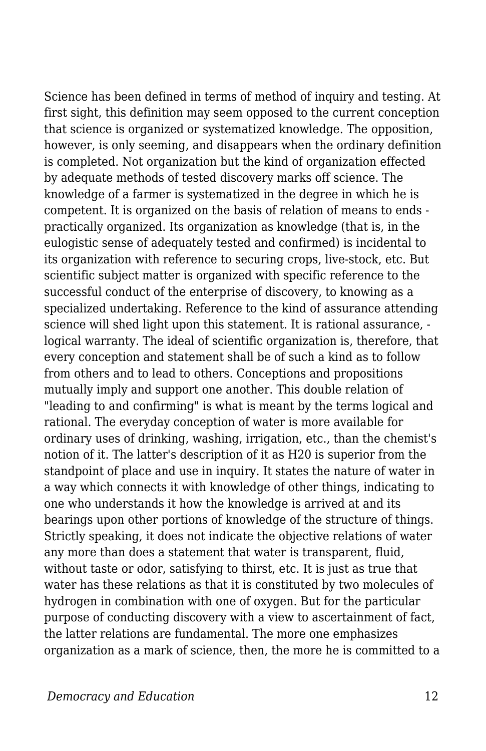Science has been defined in terms of method of inquiry and testing. At first sight, this definition may seem opposed to the current conception that science is organized or systematized knowledge. The opposition, however, is only seeming, and disappears when the ordinary definition is completed. Not organization but the kind of organization effected by adequate methods of tested discovery marks off science. The knowledge of a farmer is systematized in the degree in which he is competent. It is organized on the basis of relation of means to ends practically organized. Its organization as knowledge (that is, in the eulogistic sense of adequately tested and confirmed) is incidental to its organization with reference to securing crops, live-stock, etc. But scientific subject matter is organized with specific reference to the successful conduct of the enterprise of discovery, to knowing as a specialized undertaking. Reference to the kind of assurance attending science will shed light upon this statement. It is rational assurance, logical warranty. The ideal of scientific organization is, therefore, that every conception and statement shall be of such a kind as to follow from others and to lead to others. Conceptions and propositions mutually imply and support one another. This double relation of "leading to and confirming" is what is meant by the terms logical and rational. The everyday conception of water is more available for ordinary uses of drinking, washing, irrigation, etc., than the chemist's notion of it. The latter's description of it as H20 is superior from the standpoint of place and use in inquiry. It states the nature of water in a way which connects it with knowledge of other things, indicating to one who understands it how the knowledge is arrived at and its bearings upon other portions of knowledge of the structure of things. Strictly speaking, it does not indicate the objective relations of water any more than does a statement that water is transparent, fluid, without taste or odor, satisfying to thirst, etc. It is just as true that water has these relations as that it is constituted by two molecules of hydrogen in combination with one of oxygen. But for the particular purpose of conducting discovery with a view to ascertainment of fact, the latter relations are fundamental. The more one emphasizes organization as a mark of science, then, the more he is committed to a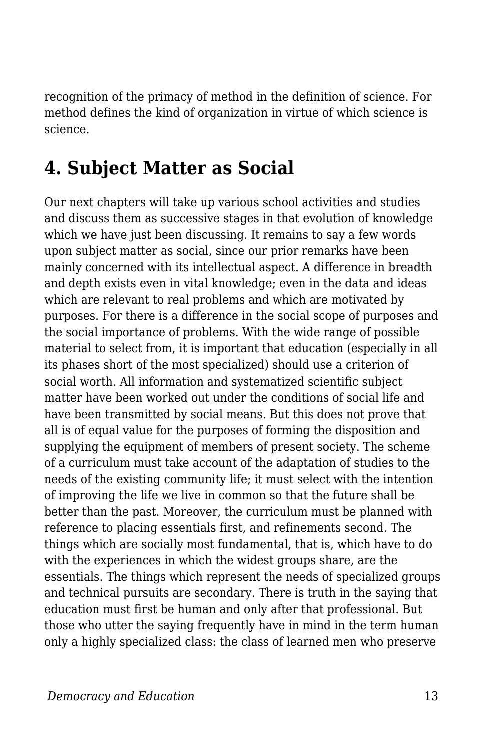recognition of the primacy of method in the definition of science. For method defines the kind of organization in virtue of which science is science.

### **4. Subject Matter as Social**

Our next chapters will take up various school activities and studies and discuss them as successive stages in that evolution of knowledge which we have just been discussing. It remains to say a few words upon subject matter as social, since our prior remarks have been mainly concerned with its intellectual aspect. A difference in breadth and depth exists even in vital knowledge; even in the data and ideas which are relevant to real problems and which are motivated by purposes. For there is a difference in the social scope of purposes and the social importance of problems. With the wide range of possible material to select from, it is important that education (especially in all its phases short of the most specialized) should use a criterion of social worth. All information and systematized scientific subject matter have been worked out under the conditions of social life and have been transmitted by social means. But this does not prove that all is of equal value for the purposes of forming the disposition and supplying the equipment of members of present society. The scheme of a curriculum must take account of the adaptation of studies to the needs of the existing community life; it must select with the intention of improving the life we live in common so that the future shall be better than the past. Moreover, the curriculum must be planned with reference to placing essentials first, and refinements second. The things which are socially most fundamental, that is, which have to do with the experiences in which the widest groups share, are the essentials. The things which represent the needs of specialized groups and technical pursuits are secondary. There is truth in the saying that education must first be human and only after that professional. But those who utter the saying frequently have in mind in the term human only a highly specialized class: the class of learned men who preserve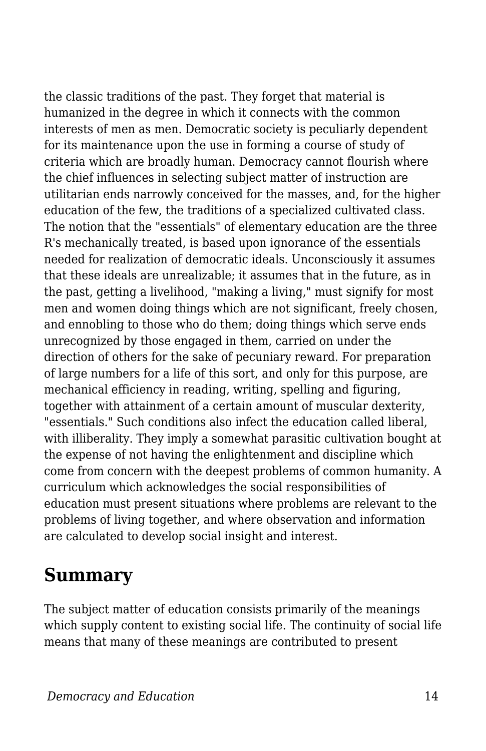the classic traditions of the past. They forget that material is humanized in the degree in which it connects with the common interests of men as men. Democratic society is peculiarly dependent for its maintenance upon the use in forming a course of study of criteria which are broadly human. Democracy cannot flourish where the chief influences in selecting subject matter of instruction are utilitarian ends narrowly conceived for the masses, and, for the higher education of the few, the traditions of a specialized cultivated class. The notion that the "essentials" of elementary education are the three R's mechanically treated, is based upon ignorance of the essentials needed for realization of democratic ideals. Unconsciously it assumes that these ideals are unrealizable; it assumes that in the future, as in the past, getting a livelihood, "making a living," must signify for most men and women doing things which are not significant, freely chosen, and ennobling to those who do them; doing things which serve ends unrecognized by those engaged in them, carried on under the direction of others for the sake of pecuniary reward. For preparation of large numbers for a life of this sort, and only for this purpose, are mechanical efficiency in reading, writing, spelling and figuring, together with attainment of a certain amount of muscular dexterity, "essentials." Such conditions also infect the education called liberal, with illiberality. They imply a somewhat parasitic cultivation bought at the expense of not having the enlightenment and discipline which come from concern with the deepest problems of common humanity. A curriculum which acknowledges the social responsibilities of education must present situations where problems are relevant to the problems of living together, and where observation and information are calculated to develop social insight and interest.

#### **Summary**

The subject matter of education consists primarily of the meanings which supply content to existing social life. The continuity of social life means that many of these meanings are contributed to present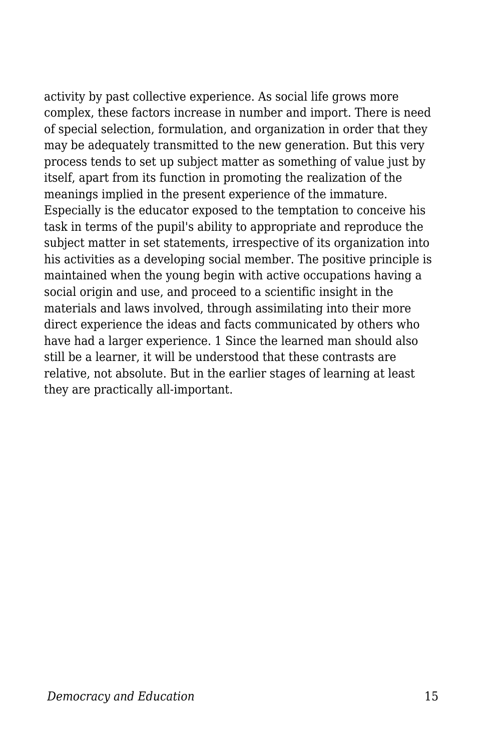activity by past collective experience. As social life grows more complex, these factors increase in number and import. There is need of special selection, formulation, and organization in order that they may be adequately transmitted to the new generation. But this very process tends to set up subject matter as something of value just by itself, apart from its function in promoting the realization of the meanings implied in the present experience of the immature. Especially is the educator exposed to the temptation to conceive his task in terms of the pupil's ability to appropriate and reproduce the subject matter in set statements, irrespective of its organization into his activities as a developing social member. The positive principle is maintained when the young begin with active occupations having a social origin and use, and proceed to a scientific insight in the materials and laws involved, through assimilating into their more direct experience the ideas and facts communicated by others who have had a larger experience. 1 Since the learned man should also still be a learner, it will be understood that these contrasts are relative, not absolute. But in the earlier stages of learning at least they are practically all-important.